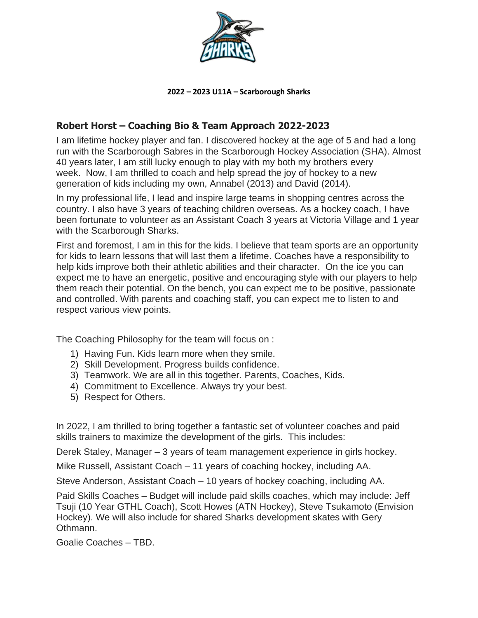

## **2022 – 2023 U11A – Scarborough Sharks**

## **Robert Horst – Coaching Bio & Team Approach 2022-2023**

I am lifetime hockey player and fan. I discovered hockey at the age of 5 and had a long run with the Scarborough Sabres in the Scarborough Hockey Association (SHA). Almost 40 years later, I am still lucky enough to play with my both my brothers every week. Now, I am thrilled to coach and help spread the joy of hockey to a new generation of kids including my own, Annabel (2013) and David (2014).

In my professional life, I lead and inspire large teams in shopping centres across the country. I also have 3 years of teaching children overseas. As a hockey coach, I have been fortunate to volunteer as an Assistant Coach 3 years at Victoria Village and 1 year with the Scarborough Sharks.

First and foremost, I am in this for the kids. I believe that team sports are an opportunity for kids to learn lessons that will last them a lifetime. Coaches have a responsibility to help kids improve both their athletic abilities and their character. On the ice you can expect me to have an energetic, positive and encouraging style with our players to help them reach their potential. On the bench, you can expect me to be positive, passionate and controlled. With parents and coaching staff, you can expect me to listen to and respect various view points.

The Coaching Philosophy for the team will focus on :

- 1) Having Fun. Kids learn more when they smile.
- 2) Skill Development. Progress builds confidence.
- 3) Teamwork. We are all in this together. Parents, Coaches, Kids.
- 4) Commitment to Excellence. Always try your best.
- 5) Respect for Others.

In 2022, I am thrilled to bring together a fantastic set of volunteer coaches and paid skills trainers to maximize the development of the girls. This includes:

Derek Staley, Manager – 3 years of team management experience in girls hockey.

Mike Russell, Assistant Coach – 11 years of coaching hockey, including AA.

Steve Anderson, Assistant Coach – 10 years of hockey coaching, including AA.

Paid Skills Coaches – Budget will include paid skills coaches, which may include: Jeff Tsuji (10 Year GTHL Coach), Scott Howes (ATN Hockey), Steve Tsukamoto (Envision Hockey). We will also include for shared Sharks development skates with Gery Othmann.

Goalie Coaches – TBD.